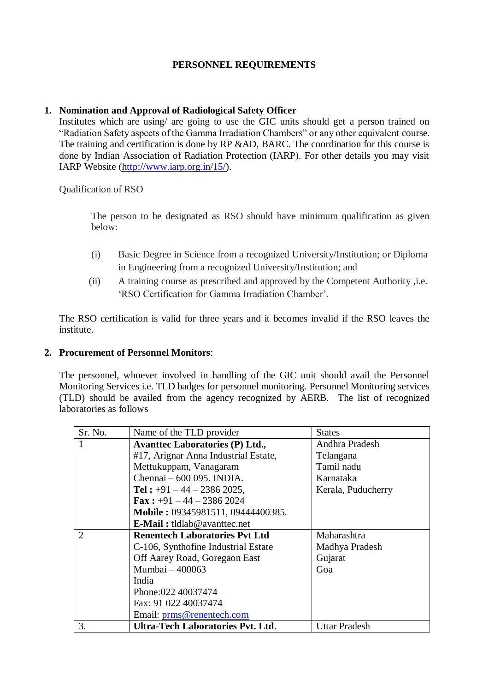## **PERSONNEL REQUIREMENTS**

## **1. Nomination and Approval of Radiological Safety Officer**

Institutes which are using/ are going to use the GIC units should get a person trained on "Radiation Safety aspects of the Gamma Irradiation Chambers" or any other equivalent course. The training and certification is done by RP &AD, BARC. The coordination for this course is done by Indian Association of Radiation Protection (IARP). For other details you may visit IARP Website [\(http://www.iarp.org.in/15/\)](http://www.iarp.org.in/15/).

Qualification of RSO

The person to be designated as RSO should have minimum qualification as given below:

- (i) Basic Degree in Science from a recognized University/Institution; or Diploma in Engineering from a recognized University/Institution; and
- (ii) A training course as prescribed and approved by the Competent Authority ,i.e. 'RSO Certification for Gamma Irradiation Chamber'.

The RSO certification is valid for three years and it becomes invalid if the RSO leaves the institute.

## **2. Procurement of Personnel Monitors**:

The personnel, whoever involved in handling of the GIC unit should avail the Personnel Monitoring Services i.e. TLD badges for personnel monitoring. Personnel Monitoring services (TLD) should be availed from the agency recognized by AERB. The list of recognized laboratories as follows

| Sr. No.        | Name of the TLD provider               | <b>States</b>        |
|----------------|----------------------------------------|----------------------|
|                | <b>Avanttec Laboratories (P) Ltd.,</b> | Andhra Pradesh       |
|                | #17, Arignar Anna Industrial Estate,   | Telangana            |
|                | Mettukuppam, Vanagaram                 | Tamil nadu           |
|                | Chennai - 600 095. INDIA.              | Karnataka            |
|                | Tel: $+91 - 44 - 2386$ 2025,           | Kerala, Puducherry   |
|                | <b>Fax:</b> $+91 - 44 - 2386 2024$     |                      |
|                | Mobile: 09345981511, 09444400385.      |                      |
|                | <b>E-Mail:</b> tldlab@avanttec.net     |                      |
| $\overline{2}$ | <b>Renentech Laboratories Pvt Ltd</b>  | Maharashtra          |
|                | C-106, Synthofine Industrial Estate    | Madhya Pradesh       |
|                | Off Aarey Road, Goregaon East          | Gujarat              |
|                | Mumbai - 400063                        | Goa                  |
|                | India                                  |                      |
|                | Phone:022 40037474                     |                      |
|                | Fax: 91 022 40037474                   |                      |
|                | Email: prms@renentech.com              |                      |
| 3.             | Ultra-Tech Laboratories Pvt. Ltd.      | <b>Uttar Pradesh</b> |